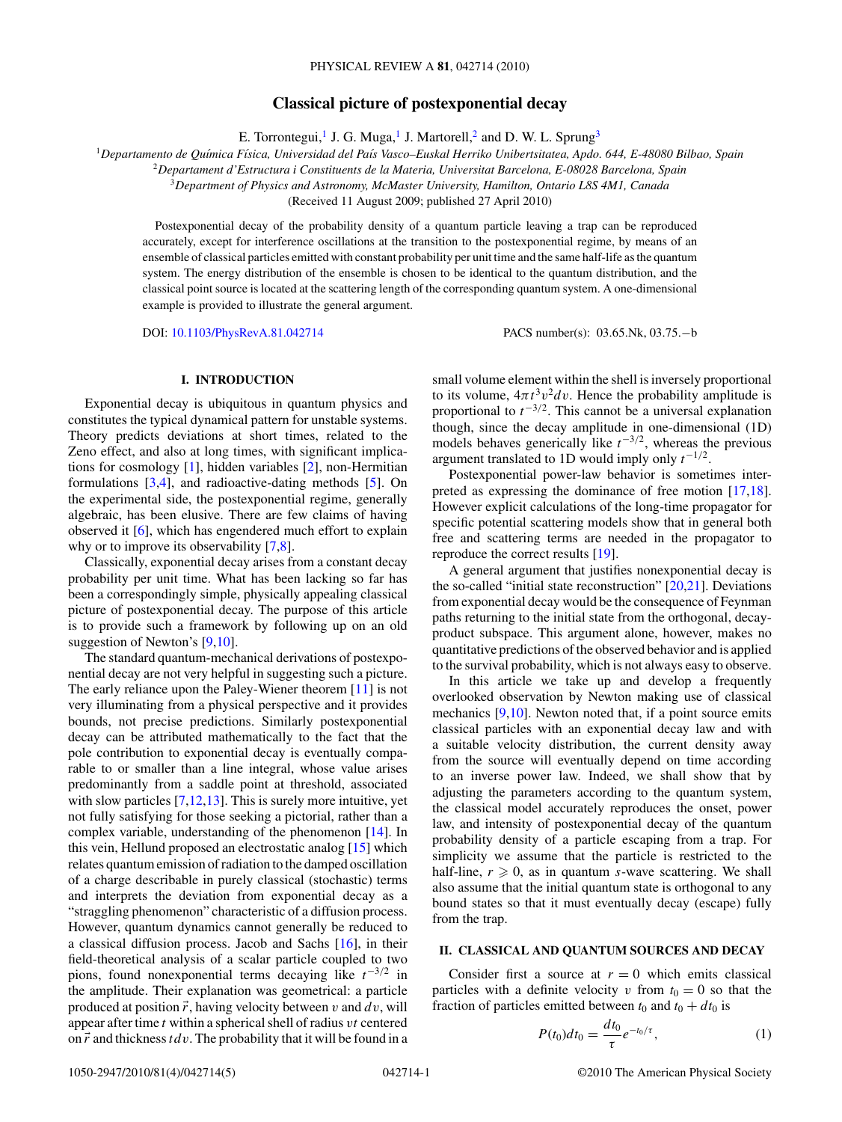# **Classical picture of postexponential decay**

E. Torrontegui,<sup>1</sup> J. G. Muga,<sup>1</sup> J. Martorell,<sup>2</sup> and D. W. L. Sprung<sup>3</sup>

<span id="page-0-0"></span><sup>1</sup>*Departamento de Qu´ımica F´ısica, Universidad del Pa´ıs Vasco–Euskal Herriko Unibertsitatea, Apdo. 644, E-48080 Bilbao, Spain*

<sup>2</sup>*Departament d'Estructura i Constituents de la Materia, Universitat Barcelona, E-08028 Barcelona, Spain*

<sup>3</sup>*Department of Physics and Astronomy, McMaster University, Hamilton, Ontario L8S 4M1, Canada*

(Received 11 August 2009; published 27 April 2010)

Postexponential decay of the probability density of a quantum particle leaving a trap can be reproduced accurately, except for interference oscillations at the transition to the postexponential regime, by means of an ensemble of classical particles emitted with constant probability per unit time and the same half-life as the quantum system. The energy distribution of the ensemble is chosen to be identical to the quantum distribution, and the classical point source is located at the scattering length of the corresponding quantum system. A one-dimensional example is provided to illustrate the general argument.

DOI: [10.1103/PhysRevA.81.042714](http://dx.doi.org/10.1103/PhysRevA.81.042714) PACS number(s): 03*.*65*.*Nk, 03*.*75*.*−b

## **I. INTRODUCTION**

Exponential decay is ubiquitous in quantum physics and constitutes the typical dynamical pattern for unstable systems. Theory predicts deviations at short times, related to the Zeno effect, and also at long times, with significant implications for cosmology [\[1\]](#page-4-0), hidden variables [\[2\]](#page-4-0), non-Hermitian formulations [\[3,4\]](#page-4-0), and radioactive-dating methods [\[5\]](#page-4-0). On the experimental side, the postexponential regime, generally algebraic, has been elusive. There are few claims of having observed it [\[6\]](#page-4-0), which has engendered much effort to explain why or to improve its observability [\[7,8\]](#page-4-0).

Classically, exponential decay arises from a constant decay probability per unit time. What has been lacking so far has been a correspondingly simple, physically appealing classical picture of postexponential decay. The purpose of this article is to provide such a framework by following up on an old suggestion of Newton's [\[9,10\]](#page-4-0).

The standard quantum-mechanical derivations of postexponential decay are not very helpful in suggesting such a picture. The early reliance upon the Paley-Wiener theorem [\[11\]](#page-4-0) is not very illuminating from a physical perspective and it provides bounds, not precise predictions. Similarly postexponential decay can be attributed mathematically to the fact that the pole contribution to exponential decay is eventually comparable to or smaller than a line integral, whose value arises predominantly from a saddle point at threshold, associated with slow particles [\[7,12,13\]](#page-4-0). This is surely more intuitive, yet not fully satisfying for those seeking a pictorial, rather than a complex variable, understanding of the phenomenon [\[14\]](#page-4-0). In this vein, Hellund proposed an electrostatic analog [\[15\]](#page-4-0) which relates quantum emission of radiation to the damped oscillation of a charge describable in purely classical (stochastic) terms and interprets the deviation from exponential decay as a "straggling phenomenon" characteristic of a diffusion process. However, quantum dynamics cannot generally be reduced to a classical diffusion process. Jacob and Sachs [\[16\]](#page-4-0), in their field-theoretical analysis of a scalar particle coupled to two pions, found nonexponential terms decaying like *t*−3*/*<sup>2</sup> in the amplitude. Their explanation was geometrical: a particle produced at position  $\vec{r}$ , having velocity between  $v$  and  $dv$ , will appear after time *t* within a spherical shell of radius *vt* centered on *r* and thickness*tdv*. The probability that it will be found in a

small volume element within the shell is inversely proportional to its volume,  $4\pi t^3 v^2 dv$ . Hence the probability amplitude is proportional to  $t^{-3/2}$ . This cannot be a universal explanation though, since the decay amplitude in one-dimensional (1D) models behaves generically like *t*−3*/*2, whereas the previous argument translated to 1D would imply only *t*−1*/*2.

Postexponential power-law behavior is sometimes interpreted as expressing the dominance of free motion [\[17,18\]](#page-4-0). However explicit calculations of the long-time propagator for specific potential scattering models show that in general both free and scattering terms are needed in the propagator to reproduce the correct results [\[19\]](#page-4-0).

A general argument that justifies nonexponential decay is the so-called "initial state reconstruction"  $[20,21]$ . Deviations from exponential decay would be the consequence of Feynman paths returning to the initial state from the orthogonal, decayproduct subspace. This argument alone, however, makes no quantitative predictions of the observed behavior and is applied to the survival probability, which is not always easy to observe.

In this article we take up and develop a frequently overlooked observation by Newton making use of classical mechanics [\[9,10\]](#page-4-0). Newton noted that, if a point source emits classical particles with an exponential decay law and with a suitable velocity distribution, the current density away from the source will eventually depend on time according to an inverse power law. Indeed, we shall show that by adjusting the parameters according to the quantum system, the classical model accurately reproduces the onset, power law, and intensity of postexponential decay of the quantum probability density of a particle escaping from a trap. For simplicity we assume that the particle is restricted to the half-line,  $r \geq 0$ , as in quantum *s*-wave scattering. We shall also assume that the initial quantum state is orthogonal to any bound states so that it must eventually decay (escape) fully from the trap.

### **II. CLASSICAL AND QUANTUM SOURCES AND DECAY**

Consider first a source at  $r = 0$  which emits classical particles with a definite velocity *v* from  $t_0 = 0$  so that the fraction of particles emitted between  $t_0$  and  $t_0 + dt_0$  is

$$
P(t_0)dt_0 = \frac{dt_0}{\tau}e^{-t_0/\tau},
$$
 (1)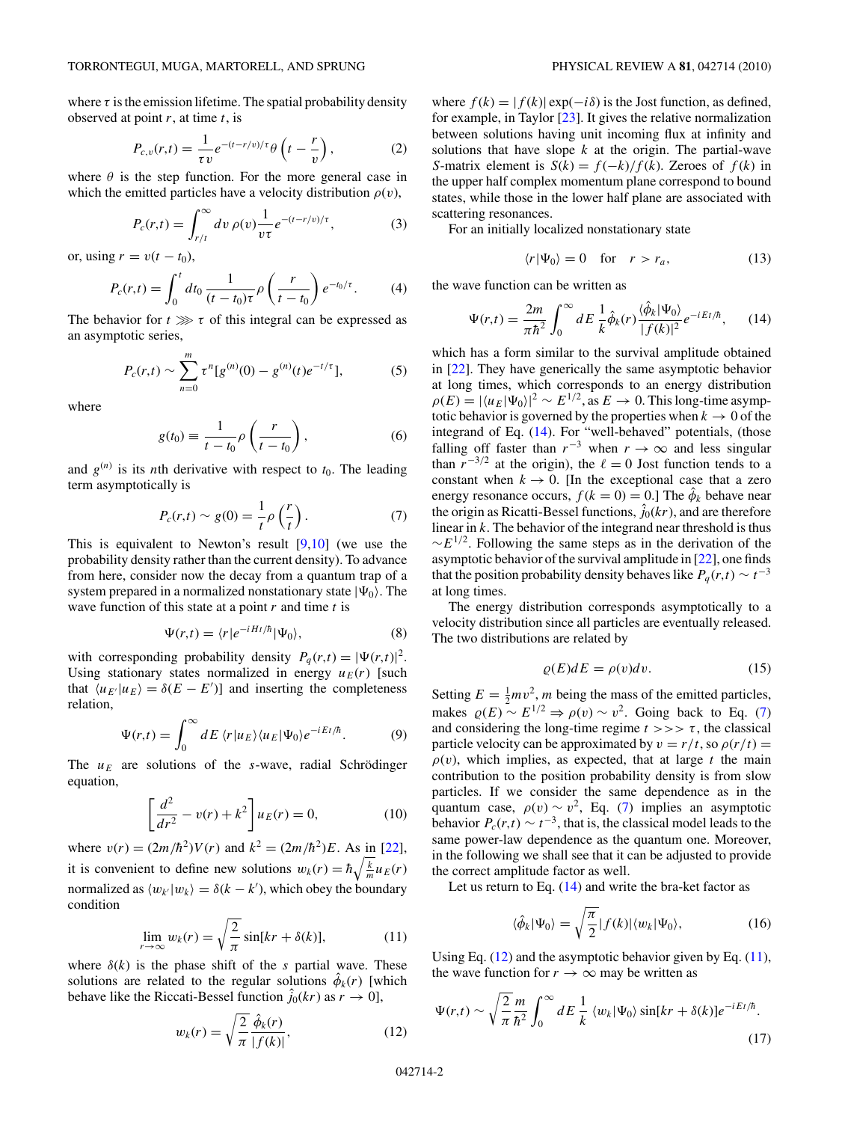<span id="page-1-0"></span>where  $\tau$  is the emission lifetime. The spatial probability density observed at point *r*, at time *t*, is

$$
P_{c,v}(r,t) = \frac{1}{\tau v} e^{-(t-r/v)/\tau} \theta \left( t - \frac{r}{v} \right),\tag{2}
$$

where  $\theta$  is the step function. For the more general case in which the emitted particles have a velocity distribution  $\rho(v)$ ,

$$
P_c(r,t) = \int_{r/t}^{\infty} dv \,\rho(v) \frac{1}{v\tau} e^{-(t-r/v)/\tau},\tag{3}
$$

or, using  $r = v(t - t_0)$ ,

$$
P_c(r,t) = \int_0^t dt_0 \, \frac{1}{(t-t_0)\tau} \rho\left(\frac{r}{t-t_0}\right) e^{-t_0/\tau}.\tag{4}
$$

The behavior for  $t \gg \tau$  of this integral can be expressed as an asymptotic series,

$$
P_c(r,t) \sim \sum_{n=0}^{m} \tau^n [g^{(n)}(0) - g^{(n)}(t)e^{-t/\tau}],
$$
 (5)

where

$$
g(t_0) \equiv \frac{1}{t - t_0} \rho \left( \frac{r}{t - t_0} \right),\tag{6}
$$

and  $g^{(n)}$  is its *n*th derivative with respect to  $t_0$ . The leading term asymptotically is

$$
P_c(r,t) \sim g(0) = \frac{1}{t} \rho \left(\frac{r}{t}\right). \tag{7}
$$

This is equivalent to Newton's result  $[9,10]$  (we use the probability density rather than the current density). To advance from here, consider now the decay from a quantum trap of a system prepared in a normalized nonstationary state  $|\Psi_0\rangle$ . The wave function of this state at a point *r* and time *t* is

$$
\Psi(r,t) = \langle r|e^{-iHt/\hbar}|\Psi_0\rangle,\tag{8}
$$

with corresponding probability density  $P_q(r,t) = |\Psi(r,t)|^2$ . Using stationary states normalized in energy  $u_E(r)$  [such that  $\langle u_{E'} | u_E \rangle = \delta(E - E')$ ] and inserting the completeness relation,

$$
\Psi(r,t) = \int_0^\infty dE \, \langle r | u_E \rangle \langle u_E | \Psi_0 \rangle e^{-iEt/\hbar}.\tag{9}
$$

The  $u_E$  are solutions of the *s*-wave, radial Schrödinger equation,

$$
\left[\frac{d^2}{dr^2} - v(r) + k^2\right] u_E(r) = 0,
$$
\n(10)

where  $v(r) = (2m/\hbar^2)V(r)$  and  $k^2 = (2m/\hbar^2)E$ . As in [\[22\]](#page-4-0), it is convenient to define new solutions  $w_k(r) = \hbar \sqrt{\frac{k}{m}} u_E(r)$ normalized as  $\langle w_k | w_k \rangle = \delta(k - k')$ , which obey the boundary condition

$$
\lim_{r \to \infty} w_k(r) = \sqrt{\frac{2}{\pi}} \sin[kr + \delta(k)], \tag{11}
$$

where  $\delta(k)$  is the phase shift of the *s* partial wave. These solutions are related to the regular solutions  $\hat{\phi}_k(r)$  [which behave like the Riccati-Bessel function  $\hat{j}_0(kr)$  as  $r \to 0$ ],

$$
w_k(r) = \sqrt{\frac{2}{\pi}} \frac{\hat{\phi}_k(r)}{|f(k)|},\tag{12}
$$

where  $f(k) = |f(k)| \exp(-i\delta)$  is the Jost function, as defined, for example, in Taylor [\[23\]](#page-4-0). It gives the relative normalization between solutions having unit incoming flux at infinity and solutions that have slope *k* at the origin. The partial-wave *S*-matrix element is *S*(*k*) =  $f(-k)/f(k)$ . Zeroes of  $f(k)$  in the upper half complex momentum plane correspond to bound states, while those in the lower half plane are associated with scattering resonances.

For an initially localized nonstationary state

$$
\langle r | \Psi_0 \rangle = 0 \quad \text{for} \quad r > r_a,
$$
 (13)

the wave function can be written as

$$
\Psi(r,t) = \frac{2m}{\pi\hbar^2} \int_0^\infty dE \frac{1}{k} \hat{\phi}_k(r) \frac{\langle \hat{\phi}_k | \Psi_0 \rangle}{|f(k)|^2} e^{-iEt/\hbar}, \qquad (14)
$$

which has a form similar to the survival amplitude obtained in [\[22\]](#page-4-0). They have generically the same asymptotic behavior at long times, which corresponds to an energy distribution  $\rho(E) = |\langle u_E | \Psi_0 \rangle|^2 \sim E^{1/2}$ , as  $E \to 0$ . This long-time asymptotic behavior is governed by the properties when  $k \to 0$  of the integrand of Eq. (14). For "well-behaved" potentials, (those falling off faster than  $r^{-3}$  when  $r \to \infty$  and less singular than  $r^{-3/2}$  at the origin), the  $\ell = 0$  Jost function tends to a constant when  $k \to 0$ . [In the exceptional case that a zero energy resonance occurs,  $f(k = 0) = 0$ .] The  $\hat{\phi}_k$  behave near the origin as Ricatti-Bessel functions,  $\hat{j}_0(kr)$ , and are therefore linear in *k*. The behavior of the integrand near threshold is thus  $\sim E^{1/2}$ . Following the same steps as in the derivation of the asymptotic behavior of the survival amplitude in [\[22\]](#page-4-0), one finds that the position probability density behaves like  $P_q(r,t) \sim t^{-3}$ at long times.

The energy distribution corresponds asymptotically to a velocity distribution since all particles are eventually released. The two distributions are related by

$$
\rho(E)dE = \rho(v)dv.
$$
 (15)

Setting  $E = \frac{1}{2}mv^2$ , *m* being the mass of the emitted particles, makes  $\rho(E) \sim E^{1/2} \Rightarrow \rho(v) \sim v^2$ . Going back to Eq. (7) and considering the long-time regime  $t \gg \gt \tau$ , the classical particle velocity can be approximated by  $v = r/t$ , so  $\rho(r/t) =$  $\rho(v)$ , which implies, as expected, that at large *t* the main contribution to the position probability density is from slow particles. If we consider the same dependence as in the quantum case,  $\rho(v) \sim v^2$ , Eq. (7) implies an asymptotic behavior  $P_c(r,t) \sim t^{-3}$ , that is, the classical model leads to the same power-law dependence as the quantum one. Moreover, in the following we shall see that it can be adjusted to provide the correct amplitude factor as well.

Let us return to Eq.  $(14)$  and write the bra-ket factor as

$$
\langle \hat{\phi}_k | \Psi_0 \rangle = \sqrt{\frac{\pi}{2}} |f(k)| \langle w_k | \Psi_0 \rangle, \tag{16}
$$

Using Eq.  $(12)$  and the asymptotic behavior given by Eq.  $(11)$ , the wave function for  $r \to \infty$  may be written as

$$
\Psi(r,t) \sim \sqrt{\frac{2}{\pi}} \frac{m}{\hbar^2} \int_0^\infty dE \frac{1}{k} \langle w_k | \Psi_0 \rangle \sin[kr + \delta(k)] e^{-iEt/\hbar}.
$$
\n(17)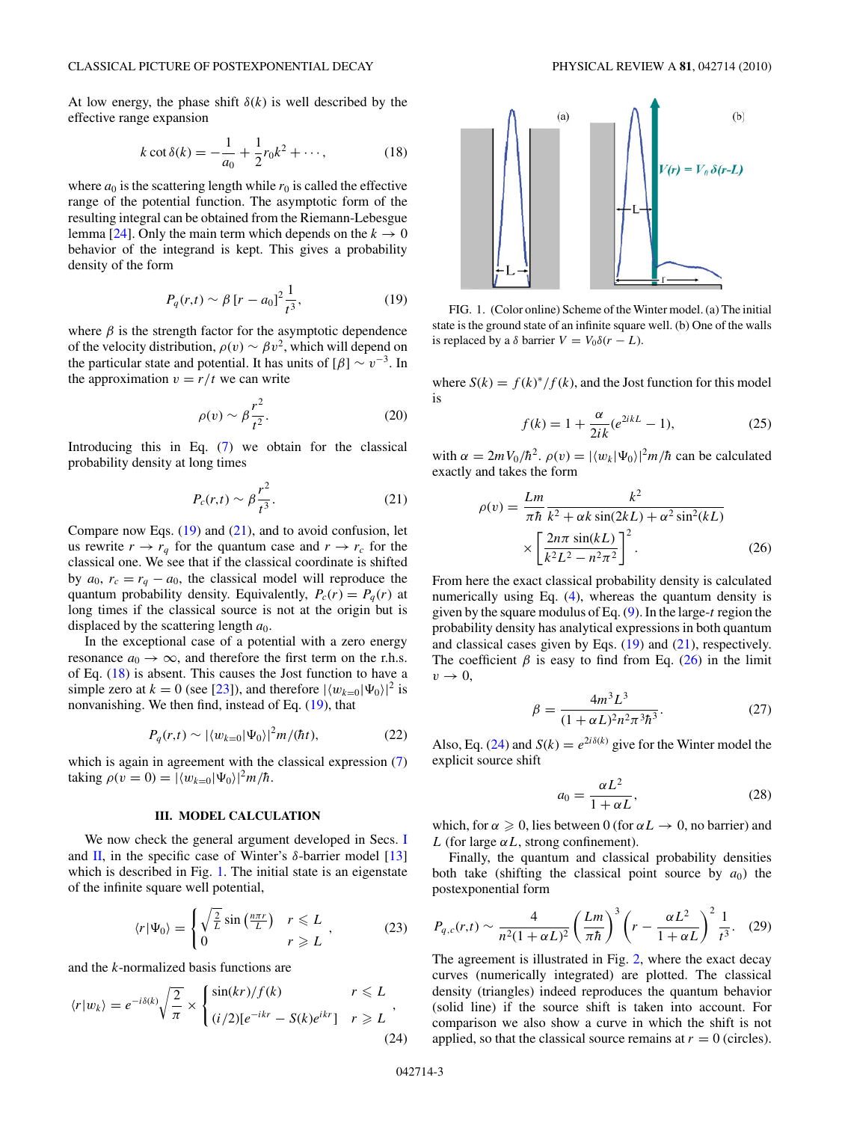<span id="page-2-0"></span>At low energy, the phase shift  $\delta(k)$  is well described by the effective range expansion

$$
k \cot \delta(k) = -\frac{1}{a_0} + \frac{1}{2}r_0k^2 + \cdots,
$$
 (18)

where  $a_0$  is the scattering length while  $r_0$  is called the effective range of the potential function. The asymptotic form of the resulting integral can be obtained from the Riemann-Lebesgue lemma [\[24\]](#page-4-0). Only the main term which depends on the  $k \to 0$ behavior of the integrand is kept. This gives a probability density of the form

$$
P_q(r,t) \sim \beta \left[ r - a_0 \right]^2 \frac{1}{t^3},\tag{19}
$$

where  $\beta$  is the strength factor for the asymptotic dependence of the velocity distribution,  $\rho(v) \sim \beta v^2$ , which will depend on the particular state and potential. It has units of  $[\beta] \sim v^{-3}$ . In the approximation  $v = r/t$  we can write

$$
\rho(v) \sim \beta \frac{r^2}{t^2}.\tag{20}
$$

Introducing this in Eq. [\(7\)](#page-1-0) we obtain for the classical probability density at long times

$$
P_c(r,t) \sim \beta \frac{r^2}{t^3}.\tag{21}
$$

Compare now Eqs.  $(19)$  and  $(21)$ , and to avoid confusion, let us rewrite  $r \rightarrow r_q$  for the quantum case and  $r \rightarrow r_c$  for the classical one. We see that if the classical coordinate is shifted by  $a_0$ ,  $r_c = r_q - a_0$ , the classical model will reproduce the quantum probability density. Equivalently,  $P_c(r) = P_q(r)$  at long times if the classical source is not at the origin but is displaced by the scattering length *a*0.

In the exceptional case of a potential with a zero energy resonance  $a_0 \rightarrow \infty$ , and therefore the first term on the r.h.s. of Eq. (18) is absent. This causes the Jost function to have a simple zero at  $k = 0$  (see [\[23\]](#page-4-0)), and therefore  $|\langle w_{k=0}|\Psi_0\rangle|^2$  is nonvanishing. We then find, instead of Eq. (19), that

$$
P_q(r,t) \sim |\langle w_{k=0}|\Psi_0\rangle|^2 m/(\hbar t), \tag{22}
$$

which is again in agreement with the classical expression  $(7)$ taking  $\rho(v=0) = |\langle w_{k=0}|\Psi_0\rangle|^2 m/\hbar$ .

## **III. MODEL CALCULATION**

We now check the general argument developed in Secs. [I](#page-0-0) and [II,](#page-0-0) in the specific case of Winter's  $\delta$ -barrier model [\[13\]](#page-4-0) which is described in Fig. 1. The initial state is an eigenstate of the infinite square well potential,

$$
\langle r|\Psi_0\rangle = \begin{cases} \sqrt{\frac{2}{L}}\sin\left(\frac{n\pi r}{L}\right) & r \leq L \\ 0 & r \geq L \end{cases}, \tag{23}
$$

and the *k*-normalized basis functions are

$$
\langle r|w_k\rangle = e^{-i\delta(k)} \sqrt{\frac{2}{\pi}} \times \begin{cases} \sin(kr)/f(k) & r \leq L \\ (i/2)[e^{-ikr} - S(k)e^{ikr}] & r \geq L \end{cases},
$$
\n(24)



FIG. 1. (Color online) Scheme of the Winter model. (a) The initial state is the ground state of an infinite square well. (b) One of the walls is replaced by a  $\delta$  barrier  $V = V_0 \delta(r - L)$ .

where  $S(k) = f(k)^*/f(k)$ , and the Jost function for this model is

$$
f(k) = 1 + \frac{\alpha}{2ik}(e^{2ikL} - 1),
$$
 (25)

with  $\alpha = 2mV_0/\hbar^2$ .  $\rho(v) = |\langle w_k|\Psi_0\rangle|^2 m/\hbar$  can be calculated exactly and takes the form

$$
\rho(v) = \frac{Lm}{\pi\hbar} \frac{k^2}{k^2 + \alpha k \sin(2kL) + \alpha^2 \sin^2(kL)}
$$

$$
\times \left[ \frac{2n\pi \sin(kL)}{k^2L^2 - n^2\pi^2} \right]^2.
$$
 (26)

From here the exact classical probability density is calculated numerically using Eq. [\(4\)](#page-1-0), whereas the quantum density is given by the square modulus of Eq. [\(9\)](#page-1-0). In the large-*t* region the probability density has analytical expressions in both quantum and classical cases given by Eqs. (19) and (21), respectively. The coefficient  $\beta$  is easy to find from Eq. (26) in the limit  $v \rightarrow 0$ ,

$$
\beta = \frac{4m^3 L^3}{(1 + \alpha L)^2 n^2 \pi^3 \hbar^3}.
$$
 (27)

Also, Eq. (24) and  $S(k) = e^{2i\delta(k)}$  give for the Winter model the explicit source shift

$$
a_0 = \frac{\alpha L^2}{1 + \alpha L},\tag{28}
$$

which, for  $\alpha \geq 0$ , lies between 0 (for  $\alpha L \to 0$ , no barrier) and *L* (for large  $\alpha L$ , strong confinement).

Finally, the quantum and classical probability densities both take (shifting the classical point source by  $a_0$ ) the postexponential form

$$
P_{q,c}(r,t) \sim \frac{4}{n^2(1+\alpha L)^2} \left(\frac{Lm}{\pi\hbar}\right)^3 \left(r - \frac{\alpha L^2}{1+\alpha L}\right)^2 \frac{1}{t^3}.
$$
 (29)

The agreement is illustrated in Fig. [2,](#page-3-0) where the exact decay curves (numerically integrated) are plotted. The classical density (triangles) indeed reproduces the quantum behavior (solid line) if the source shift is taken into account. For comparison we also show a curve in which the shift is not applied, so that the classical source remains at  $r = 0$  (circles).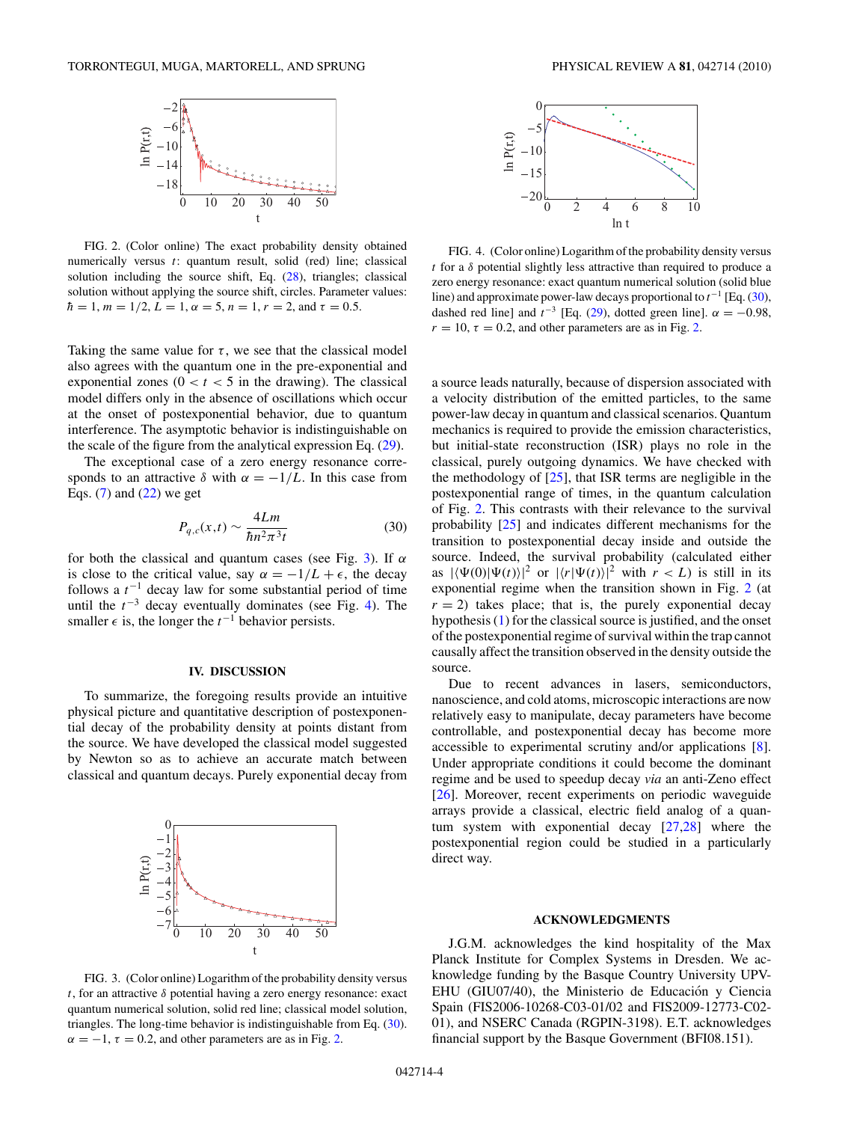<span id="page-3-0"></span>

FIG. 2. (Color online) The exact probability density obtained numerically versus *t*: quantum result, solid (red) line; classical solution including the source shift, Eq. [\(28\)](#page-2-0), triangles; classical solution without applying the source shift, circles. Parameter values:  $h = 1, m = 1/2, L = 1, \alpha = 5, n = 1, r = 2, \text{ and } \tau = 0.5.$ 

Taking the same value for  $\tau$ , we see that the classical model also agrees with the quantum one in the pre-exponential and exponential zones  $(0 < t < 5$  in the drawing). The classical model differs only in the absence of oscillations which occur at the onset of postexponential behavior, due to quantum interference. The asymptotic behavior is indistinguishable on the scale of the figure from the analytical expression Eq. [\(29\)](#page-2-0).

The exceptional case of a zero energy resonance corresponds to an attractive  $\delta$  with  $\alpha = -1/L$ . In this case from Eqs.  $(7)$  and  $(22)$  we get

$$
P_{q,c}(x,t) \sim \frac{4Lm}{\hbar n^2 \pi^3 t} \tag{30}
$$

for both the classical and quantum cases (see Fig. 3). If *α* is close to the critical value, say  $\alpha = -1/L + \epsilon$ , the decay follows a *t*−<sup>1</sup> decay law for some substantial period of time until the  $t^{-3}$  decay eventually dominates (see Fig. 4). The smaller  $\epsilon$  is, the longer the  $t^{-1}$  behavior persists.

#### **IV. DISCUSSION**

To summarize, the foregoing results provide an intuitive physical picture and quantitative description of postexponential decay of the probability density at points distant from the source. We have developed the classical model suggested by Newton so as to achieve an accurate match between classical and quantum decays. Purely exponential decay from



FIG. 3. (Color online) Logarithm of the probability density versus *t*, for an attractive *δ* potential having a zero energy resonance: exact quantum numerical solution, solid red line; classical model solution, triangles. The long-time behavior is indistinguishable from Eq. (30).  $\alpha = -1$ ,  $\tau = 0.2$ , and other parameters are as in Fig. 2.



FIG. 4. (Color online) Logarithm of the probability density versus *t* for a *δ* potential slightly less attractive than required to produce a zero energy resonance: exact quantum numerical solution (solid blue line) and approximate power-law decays proportional to *t*−<sup>1</sup> [Eq. (30), dashed red line] and  $t^{-3}$  [Eq. [\(29\)](#page-2-0), dotted green line].  $\alpha = -0.98$ ,  $r = 10$ ,  $\tau = 0.2$ , and other parameters are as in Fig. 2.

a source leads naturally, because of dispersion associated with a velocity distribution of the emitted particles, to the same power-law decay in quantum and classical scenarios. Quantum mechanics is required to provide the emission characteristics, but initial-state reconstruction (ISR) plays no role in the classical, purely outgoing dynamics. We have checked with the methodology of  $[25]$ , that ISR terms are negligible in the postexponential range of times, in the quantum calculation of Fig. 2. This contrasts with their relevance to the survival probability [\[25\]](#page-4-0) and indicates different mechanisms for the transition to postexponential decay inside and outside the source. Indeed, the survival probability (calculated either as  $|\langle \Psi(0) | \Psi(t) \rangle|^2$  or  $|\langle r | \Psi(t) \rangle|^2$  with  $r < L$ ) is still in its exponential regime when the transition shown in Fig. 2 (at  $r = 2$ ) takes place; that is, the purely exponential decay hypothesis [\(1\)](#page-0-0) for the classical source is justified, and the onset of the postexponential regime of survival within the trap cannot causally affect the transition observed in the density outside the source.

Due to recent advances in lasers, semiconductors, nanoscience, and cold atoms, microscopic interactions are now relatively easy to manipulate, decay parameters have become controllable, and postexponential decay has become more accessible to experimental scrutiny and/or applications [\[8\]](#page-4-0). Under appropriate conditions it could become the dominant regime and be used to speedup decay *via* an anti-Zeno effect [\[26\]](#page-4-0). Moreover, recent experiments on periodic waveguide arrays provide a classical, electric field analog of a quantum system with exponential decay [\[27,28\]](#page-4-0) where the postexponential region could be studied in a particularly direct way.

#### **ACKNOWLEDGMENTS**

J.G.M. acknowledges the kind hospitality of the Max Planck Institute for Complex Systems in Dresden. We acknowledge funding by the Basque Country University UPV-EHU (GIU07/40), the Ministerio de Educación y Ciencia Spain (FIS2006-10268-C03-01/02 and FIS2009-12773-C02- 01), and NSERC Canada (RGPIN-3198). E.T. acknowledges financial support by the Basque Government (BFI08.151).